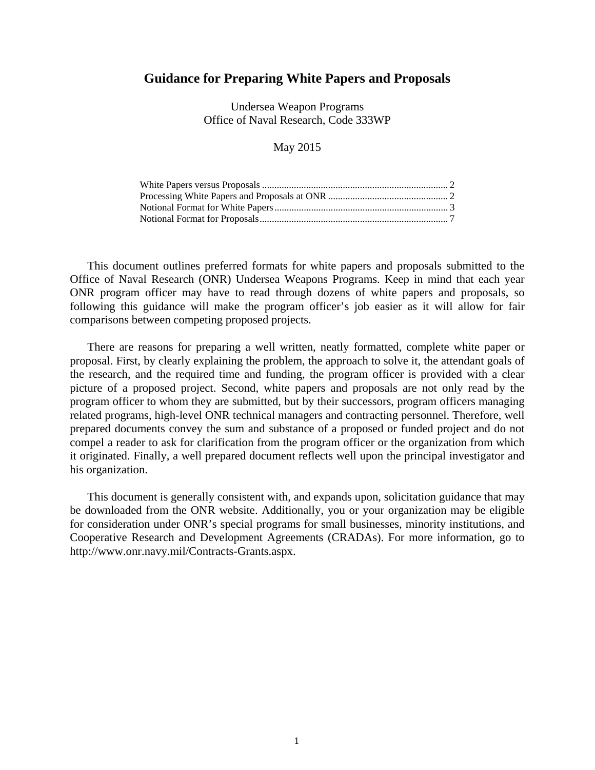# **Guidance for Preparing White Papers and Proposals**

Undersea Weapon Programs Office of Naval Research, Code 333WP

## May 2015

This document outlines preferred formats for white papers and proposals submitted to the Office of Naval Research (ONR) Undersea Weapons Programs. Keep in mind that each year ONR program officer may have to read through dozens of white papers and proposals, so following this guidance will make the program officer's job easier as it will allow for fair comparisons between competing proposed projects.

There are reasons for preparing a well written, neatly formatted, complete white paper or proposal. First, by clearly explaining the problem, the approach to solve it, the attendant goals of the research, and the required time and funding, the program officer is provided with a clear picture of a proposed project. Second, white papers and proposals are not only read by the program officer to whom they are submitted, but by their successors, program officers managing related programs, high-level ONR technical managers and contracting personnel. Therefore, well prepared documents convey the sum and substance of a proposed or funded project and do not compel a reader to ask for clarification from the program officer or the organization from which it originated. Finally, a well prepared document reflects well upon the principal investigator and his organization.

This document is generally consistent with, and expands upon, solicitation guidance that may be downloaded from the ONR website. Additionally, you or your organization may be eligible for consideration under ONR's special programs for small businesses, minority institutions, and Cooperative Research and Development Agreements (CRADAs). For more information, go to http://www.onr.navy.mil/Contracts-Grants.aspx.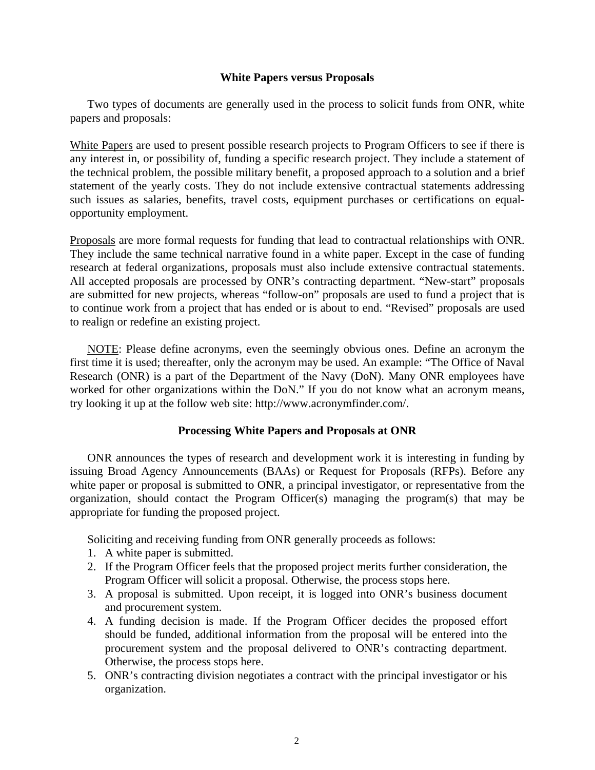## **White Papers versus Proposals**

Two types of documents are generally used in the process to solicit funds from ONR, white papers and proposals:

White Papers are used to present possible research projects to Program Officers to see if there is any interest in, or possibility of, funding a specific research project. They include a statement of the technical problem, the possible military benefit, a proposed approach to a solution and a brief statement of the yearly costs. They do not include extensive contractual statements addressing such issues as salaries, benefits, travel costs, equipment purchases or certifications on equalopportunity employment.

Proposals are more formal requests for funding that lead to contractual relationships with ONR. They include the same technical narrative found in a white paper. Except in the case of funding research at federal organizations, proposals must also include extensive contractual statements. All accepted proposals are processed by ONR's contracting department. "New-start" proposals are submitted for new projects, whereas "follow-on" proposals are used to fund a project that is to continue work from a project that has ended or is about to end. "Revised" proposals are used to realign or redefine an existing project.

 NOTE: Please define acronyms, even the seemingly obvious ones. Define an acronym the first time it is used; thereafter, only the acronym may be used. An example: "The Office of Naval Research (ONR) is a part of the Department of the Navy (DoN). Many ONR employees have worked for other organizations within the DoN." If you do not know what an acronym means, try looking it up at the follow web site: http://www.acronymfinder.com/.

# **Processing White Papers and Proposals at ONR**

ONR announces the types of research and development work it is interesting in funding by issuing Broad Agency Announcements (BAAs) or Request for Proposals (RFPs). Before any white paper or proposal is submitted to ONR, a principal investigator, or representative from the organization, should contact the Program Officer(s) managing the program(s) that may be appropriate for funding the proposed project.

Soliciting and receiving funding from ONR generally proceeds as follows:

- 1. A white paper is submitted.
- 2. If the Program Officer feels that the proposed project merits further consideration, the Program Officer will solicit a proposal. Otherwise, the process stops here.
- 3. A proposal is submitted. Upon receipt, it is logged into ONR's business document and procurement system.
- 4. A funding decision is made. If the Program Officer decides the proposed effort should be funded, additional information from the proposal will be entered into the procurement system and the proposal delivered to ONR's contracting department. Otherwise, the process stops here.
- 5. ONR's contracting division negotiates a contract with the principal investigator or his organization.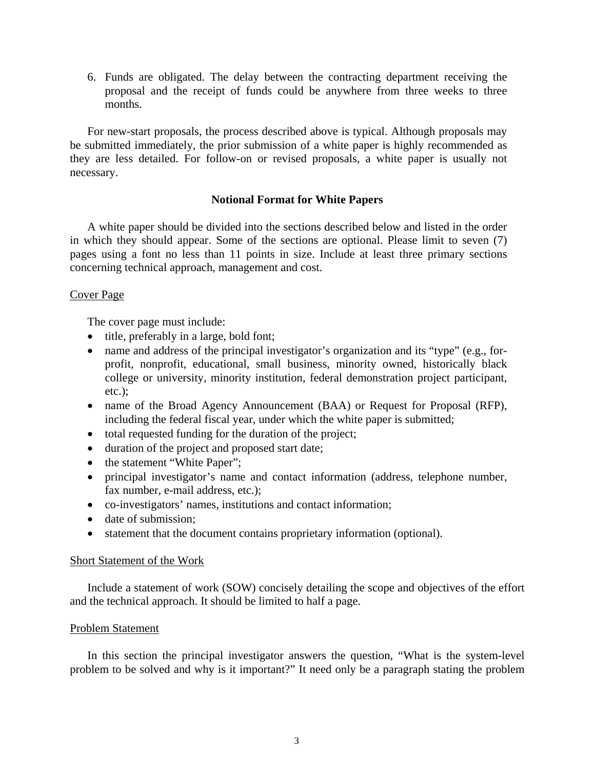6. Funds are obligated. The delay between the contracting department receiving the proposal and the receipt of funds could be anywhere from three weeks to three months.

For new-start proposals, the process described above is typical. Although proposals may be submitted immediately, the prior submission of a white paper is highly recommended as they are less detailed. For follow-on or revised proposals, a white paper is usually not necessary.

## **Notional Format for White Papers**

A white paper should be divided into the sections described below and listed in the order in which they should appear. Some of the sections are optional. Please limit to seven (7) pages using a font no less than 11 points in size. Include at least three primary sections concerning technical approach, management and cost.

## Cover Page

The cover page must include:

- title, preferably in a large, bold font;
- name and address of the principal investigator's organization and its "type" (e.g., forprofit, nonprofit, educational, small business, minority owned, historically black college or university, minority institution, federal demonstration project participant, etc.);
- name of the Broad Agency Announcement (BAA) or Request for Proposal (RFP), including the federal fiscal year, under which the white paper is submitted;
- total requested funding for the duration of the project;
- duration of the project and proposed start date;
- the statement "White Paper";
- principal investigator's name and contact information (address, telephone number, fax number, e-mail address, etc.);
- co-investigators' names, institutions and contact information;
- date of submission;
- statement that the document contains proprietary information (optional).

## Short Statement of the Work

Include a statement of work (SOW) concisely detailing the scope and objectives of the effort and the technical approach. It should be limited to half a page.

# Problem Statement

In this section the principal investigator answers the question, "What is the system-level problem to be solved and why is it important?" It need only be a paragraph stating the problem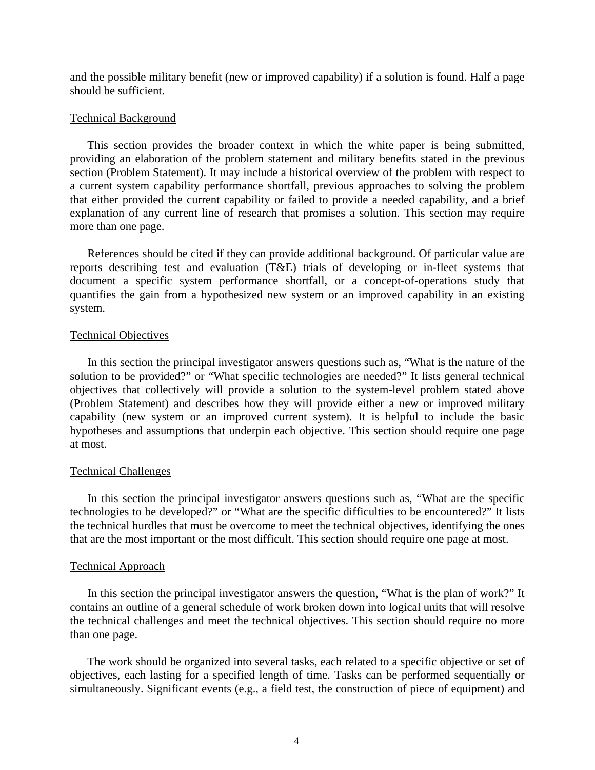and the possible military benefit (new or improved capability) if a solution is found. Half a page should be sufficient.

### Technical Background

This section provides the broader context in which the white paper is being submitted, providing an elaboration of the problem statement and military benefits stated in the previous section (Problem Statement). It may include a historical overview of the problem with respect to a current system capability performance shortfall, previous approaches to solving the problem that either provided the current capability or failed to provide a needed capability, and a brief explanation of any current line of research that promises a solution. This section may require more than one page.

References should be cited if they can provide additional background. Of particular value are reports describing test and evaluation (T&E) trials of developing or in-fleet systems that document a specific system performance shortfall, or a concept-of-operations study that quantifies the gain from a hypothesized new system or an improved capability in an existing system.

#### Technical Objectives

In this section the principal investigator answers questions such as, "What is the nature of the solution to be provided?" or "What specific technologies are needed?" It lists general technical objectives that collectively will provide a solution to the system-level problem stated above (Problem Statement) and describes how they will provide either a new or improved military capability (new system or an improved current system). It is helpful to include the basic hypotheses and assumptions that underpin each objective. This section should require one page at most.

#### Technical Challenges

In this section the principal investigator answers questions such as, "What are the specific technologies to be developed?" or "What are the specific difficulties to be encountered?" It lists the technical hurdles that must be overcome to meet the technical objectives, identifying the ones that are the most important or the most difficult. This section should require one page at most.

### Technical Approach

In this section the principal investigator answers the question, "What is the plan of work?" It contains an outline of a general schedule of work broken down into logical units that will resolve the technical challenges and meet the technical objectives. This section should require no more than one page.

The work should be organized into several tasks, each related to a specific objective or set of objectives, each lasting for a specified length of time. Tasks can be performed sequentially or simultaneously. Significant events (e.g., a field test, the construction of piece of equipment) and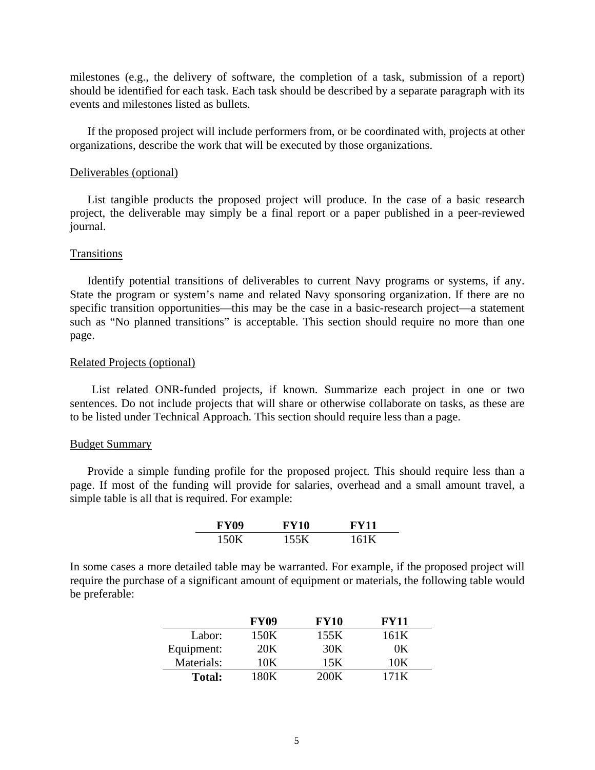milestones (e.g., the delivery of software, the completion of a task, submission of a report) should be identified for each task. Each task should be described by a separate paragraph with its events and milestones listed as bullets.

If the proposed project will include performers from, or be coordinated with, projects at other organizations, describe the work that will be executed by those organizations.

#### Deliverables (optional)

List tangible products the proposed project will produce. In the case of a basic research project, the deliverable may simply be a final report or a paper published in a peer-reviewed journal.

#### Transitions

Identify potential transitions of deliverables to current Navy programs or systems, if any. State the program or system's name and related Navy sponsoring organization. If there are no specific transition opportunities—this may be the case in a basic-research project—a statement such as "No planned transitions" is acceptable. This section should require no more than one page.

#### Related Projects (optional)

List related ONR-funded projects, if known. Summarize each project in one or two sentences. Do not include projects that will share or otherwise collaborate on tasks, as these are to be listed under Technical Approach. This section should require less than a page.

#### Budget Summary

Provide a simple funding profile for the proposed project. This should require less than a page. If most of the funding will provide for salaries, overhead and a small amount travel, a simple table is all that is required. For example:

| <b>FY09</b> | <b>FY10</b> | FY11 |
|-------------|-------------|------|
| 150K        | 155K        | 161K |

In some cases a more detailed table may be warranted. For example, if the proposed project will require the purchase of a significant amount of equipment or materials, the following table would be preferable:

|               | <b>FY09</b> | <b>FY10</b> | <b>FY11</b> |
|---------------|-------------|-------------|-------------|
| Labor:        | 150K        | 155K        | 161 K       |
| Equipment:    | 20K         | 30K         | DК          |
| Materials:    | 10K         | 15K         |             |
| <b>Total:</b> | LROK.       | 200K        | 171K        |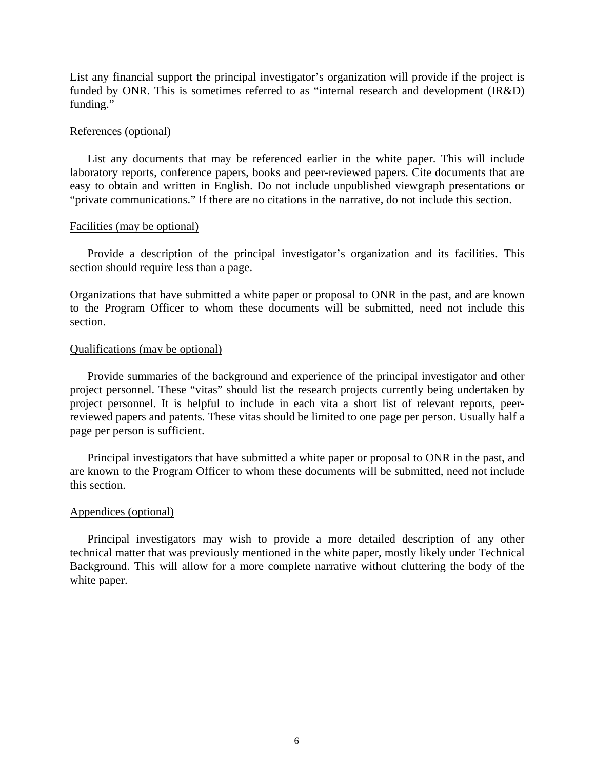List any financial support the principal investigator's organization will provide if the project is funded by ONR. This is sometimes referred to as "internal research and development (IR&D) funding."

## References (optional)

List any documents that may be referenced earlier in the white paper. This will include laboratory reports, conference papers, books and peer-reviewed papers. Cite documents that are easy to obtain and written in English. Do not include unpublished viewgraph presentations or "private communications." If there are no citations in the narrative, do not include this section.

## Facilities (may be optional)

Provide a description of the principal investigator's organization and its facilities. This section should require less than a page.

Organizations that have submitted a white paper or proposal to ONR in the past, and are known to the Program Officer to whom these documents will be submitted, need not include this section.

## Qualifications (may be optional)

Provide summaries of the background and experience of the principal investigator and other project personnel. These "vitas" should list the research projects currently being undertaken by project personnel. It is helpful to include in each vita a short list of relevant reports, peerreviewed papers and patents. These vitas should be limited to one page per person. Usually half a page per person is sufficient.

Principal investigators that have submitted a white paper or proposal to ONR in the past, and are known to the Program Officer to whom these documents will be submitted, need not include this section.

## Appendices (optional)

Principal investigators may wish to provide a more detailed description of any other technical matter that was previously mentioned in the white paper, mostly likely under Technical Background. This will allow for a more complete narrative without cluttering the body of the white paper.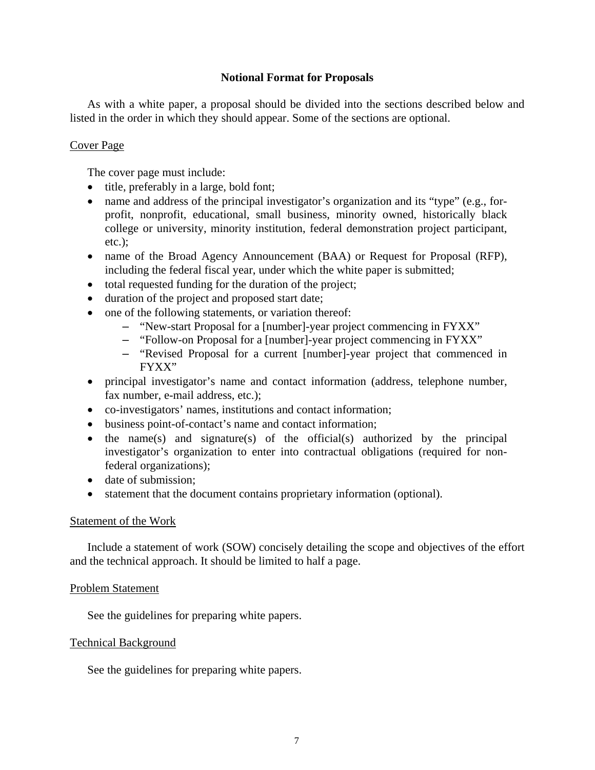# **Notional Format for Proposals**

As with a white paper, a proposal should be divided into the sections described below and listed in the order in which they should appear. Some of the sections are optional.

# Cover Page

The cover page must include:

- title, preferably in a large, bold font;
- name and address of the principal investigator's organization and its "type" (e.g., forprofit, nonprofit, educational, small business, minority owned, historically black college or university, minority institution, federal demonstration project participant, etc.);
- name of the Broad Agency Announcement (BAA) or Request for Proposal (RFP), including the federal fiscal year, under which the white paper is submitted;
- total requested funding for the duration of the project;
- duration of the project and proposed start date;
- one of the following statements, or variation thereof:
	- "New-start Proposal for a [number]-year project commencing in FYXX"
	- "Follow-on Proposal for a [number]-year project commencing in FYXX"
	- "Revised Proposal for a current [number]-year project that commenced in FYXX"
- principal investigator's name and contact information (address, telephone number, fax number, e-mail address, etc.);
- co-investigators' names, institutions and contact information;
- business point-of-contact's name and contact information;
- $\bullet$  the name(s) and signature(s) of the official(s) authorized by the principal investigator's organization to enter into contractual obligations (required for nonfederal organizations);
- date of submission;
- statement that the document contains proprietary information (optional).

# Statement of the Work

Include a statement of work (SOW) concisely detailing the scope and objectives of the effort and the technical approach. It should be limited to half a page.

# Problem Statement

See the guidelines for preparing white papers.

# Technical Background

See the guidelines for preparing white papers.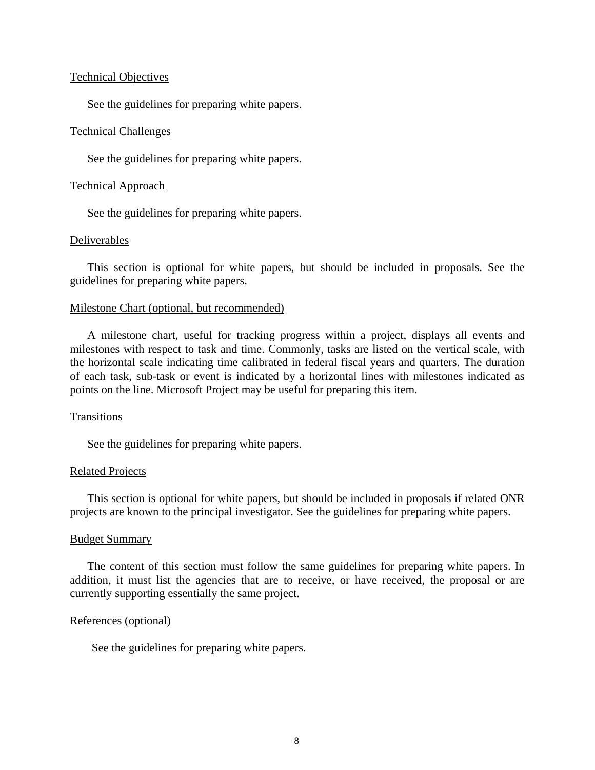#### Technical Objectives

See the guidelines for preparing white papers.

### Technical Challenges

See the guidelines for preparing white papers.

#### Technical Approach

See the guidelines for preparing white papers.

## Deliverables

This section is optional for white papers, but should be included in proposals. See the guidelines for preparing white papers.

#### Milestone Chart (optional, but recommended)

A milestone chart, useful for tracking progress within a project, displays all events and milestones with respect to task and time. Commonly, tasks are listed on the vertical scale, with the horizontal scale indicating time calibrated in federal fiscal years and quarters. The duration of each task, sub-task or event is indicated by a horizontal lines with milestones indicated as points on the line. Microsoft Project may be useful for preparing this item.

## **Transitions**

See the guidelines for preparing white papers.

#### Related Projects

This section is optional for white papers, but should be included in proposals if related ONR projects are known to the principal investigator. See the guidelines for preparing white papers.

### Budget Summary

The content of this section must follow the same guidelines for preparing white papers. In addition, it must list the agencies that are to receive, or have received, the proposal or are currently supporting essentially the same project.

#### References (optional)

See the guidelines for preparing white papers.